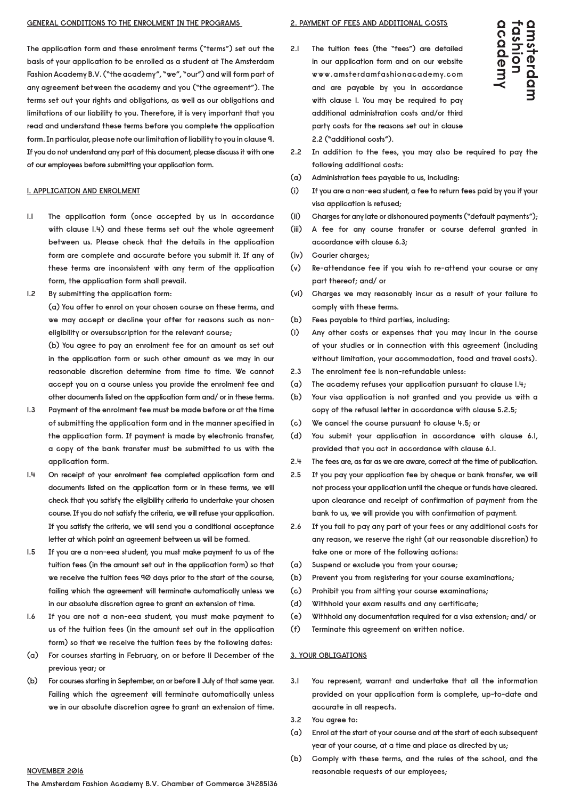**The application form and these enrolment terms ("terms") set out the basis of your application to be enrolled as a student at The Amsterdam Fashion Academy B.V. ("the academy", "we", "our") and will form part of any agreement between the academy and you ("the agreement"). The terms set out your rights and obligations, as well as our obligations and limitations of our liability to you. Therefore, it is very important that you read and understand these terms before you complete the application form. In particular, please note our limitation of liability to you in clause 9. If you do not understand any part of this document, please discuss it with one of our employees before submitting your application form.**

#### **1. APPLICATION AND ENROLMENT**

- **1.1 The application form (once accepted by us in accordance with clause 1.4) and these terms set out the whole agreement between us. Please check that the details in the application form are complete and accurate before you submit it. If any of these terms are inconsistent with any term of the application form, the application form shall prevail.**
- **1.2 By submitting the application form:**

 **(a) You offer to enrol on your chosen course on these terms, and we may accept or decline your offer for reasons such as noneligibility or oversubscription for the relevant course;**

 **(b) You agree to pay an enrolment fee for an amount as set out in the application form or such other amount as we may in our reasonable discretion determine from time to time. We cannot accept you on a course unless you provide the enrolment fee and other documents listed on the application form and/ or in these terms.**

- **1.3 Payment of the enrolment fee must be made before or at the time of submitting the application form and in the manner specified in the application form. If payment is made by electronic transfer, a copy of the bank transfer must be submitted to us with the application form.**
- **1.4 On receipt of your enrolment fee completed application form and documents listed on the application form or in these terms, we will check that you satisfy the eligibility criteria to undertake your chosen course. If you do not satisfy the criteria, we will refuse your application. If you satisfy the criteria, we will send you a conditional acceptance letter at which point an agreement between us will be formed.**
- **1.5 If you are a non-eea student, you must make payment to us of the tuition fees (in the amount set out in the application form) so that we receive the tuition fees 90 days prior to the start of the course, failing which the agreement will terminate automatically unless we in our absolute discretion agree to grant an extension of time.**
- **1.6 If you are not a non-eea student, you must make payment to us of the tuition fees (in the amount set out in the application form) so that we receive the tuition fees by the following dates:**
- **(a) For courses starting in February, on or before 11 December of the previous year; or**
- **(b) For courses starting in September, on or before 11 July of that same year. Failing which the agreement will terminate automatically unless we in our absolute discretion agree to grant an extension of time.**

#### **2. PAYMENT OF FEES AND ADDITIONAL COSTS**

**2.1 The tuition fees (the "fees") are detailed in our application form and on our website www.amsterdamfashionacademy.com and are payable by you in accordance with clause 1. You may be required to pay additional administration costs and/or third party costs for the reasons set out in clause 2.2 ("additional costs").**



- **2.2 In addition to the fees, you may also be required to pay the following additional costs:**
- **(a) Administration fees payable to us, including:**
- **(i) If you are a non-eea student, a fee to return fees paid by you if your visa application is refused;**
- **(ii) Charges for any late or dishonoured payments ("default payments");**
- **(iii) A fee for any course transfer or course deferral granted in accordance with clause 6.3;**
- **(iv) Courier charges;**
- **(v) Re-attendance fee if you wish to re-attend your course or any part thereof; and/ or**
- **(vi) Charges we may reasonably incur as a result of your failure to comply with these terms.**
- **(b) Fees payable to third parties, including:**
- **(i) Any other costs or expenses that you may incur in the course of your studies or in connection with this agreement (including without limitation, your accommodation, food and travel costs).**
- **2.3 The enrolment fee is non-refundable unless:**
- **(a) The academy refuses your application pursuant to clause 1.4;**
- **(b) Your visa application is not granted and you provide us with a copy of the refusal letter in accordance with clause 5.2.5;**
- **(c) We cancel the course pursuant to clause 4.5; or**
- **(d) You submit your application in accordance with clause 6.1, provided that you act in accordance with clause 6.1.**
- **2.4 The fees are, as far as we are aware, correct at the time of publication.**
- **2.5 If you pay your application fee by cheque or bank transfer, we will not process your application until the cheque or funds have cleared. upon clearance and receipt of confirmation of payment from the bank to us, we will provide you with confirmation of payment.**
- **2.6 If you fail to pay any part of your fees or any additional costs for any reason, we reserve the right (at our reasonable discretion) to take one or more of the following actions:**
- **(a) Suspend or exclude you from your course;**
- **(b) Prevent you from registering for your course examinations;**
- **(c) Prohibit you from sitting your course examinations;**
- **(d) Withhold your exam results and any certificate;**
- **(e) Withhold any documentation required for a visa extension; and/ or**
- **(f) Terminate this agreement on written notice.**

#### **3. YOUR OBLIGATIONS**

- **3.1 You represent, warrant and undertake that all the information provided on your application form is complete, up-to-date and accurate in all respects.**
- **3.2 You agree to:**
- **(a) Enrol at the start of your course and at the start of each subsequent year of your course, at a time and place as directed by us;**
- **(b) Comply with these terms, and the rules of the school, and the NOVEMBER 2016 reasonable requests of our employees;**

**The Amsterdam Fashion Academy B.V. Chamber of Commerce 34285136**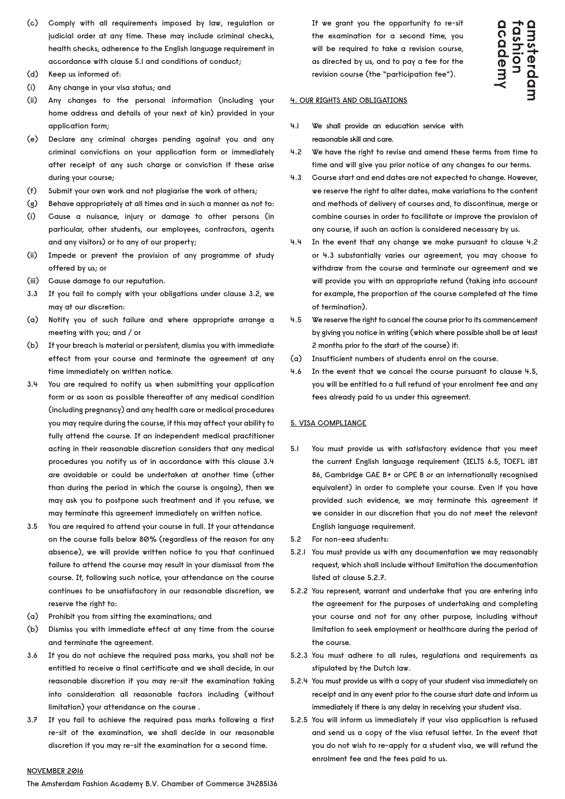- **(c) Comply with all requirements imposed by law, regulation or judicial order at any time. These may include criminal checks, health checks, adherence to the English language requirement in accordance with clause 5.1 and conditions of conduct;**
- **(d) Keep us informed of:**
- **(i) Any change in your visa status; and**
- **(ii) Any changes to the personal information (including your home address and details of your next of kin) provided in your application form;**
- **(e) Declare any criminal charges pending against you and any criminal convictions on your application form or immediately after receipt of any such charge or conviction if these arise during your course;**
- **(f) Submit your own work and not plagiarise the work of others;**
- **(g) Behave appropriately at all times and in such a manner as not to:**
- **(i) Cause a nuisance, injury or damage to other persons (in particular, other students, our employees, contractors, agents and any visitors) or to any of our property;**
- **(ii) Impede or prevent the provision of any programme of study offered by us; or**
- **(iii) Cause damage to our reputation.**
- **3.3 If you fail to comply with your obligations under clause 3.2, we may at our discretion:**
- **(a) Notify you of such failure and where appropriate arrange a meeting with you; and / or**
- **(b) If your breach is material or persistent, dismiss you with immediate effect from your course and terminate the agreement at any time immediately on written notice.**
- **3.4 You are required to notify us when submitting your application form or as soon as possible thereafter of any medical condition (including pregnancy) and any health care or medical procedures you may require during the course, if this may affect your ability to fully attend the course. If an independent medical practitioner acting in their reasonable discretion considers that any medical procedures you notify us of in accordance with this clause 3.4 are avoidable or could be undertaken at another time (other than during the period in which the course is ongoing), then we may ask you to postpone such treatment and if you refuse, we may terminate this agreement immediately on written notice.**
- **3.5 You are required to attend your course in full. If your attendance on the course falls below 80% (regardless of the reason for any absence), we will provide written notice to you that continued failure to attend the course may result in your dismissal from the course. If, following such notice, your attendance on the course continues to be unsatisfactory in our reasonable discretion, we reserve the right to:**
- **(a) Prohibit you from sitting the examinations; and**
- **(b) Dismiss you with immediate effect at any time from the course and terminate the agreement.**
- **3.6 If you do not achieve the required pass marks, you shall not be entitled to receive a final certificate and we shall decide, in our reasonable discretion if you may re-sit the examination taking into consideration all reasonable factors including (without limitation) your attendance on the course .**
- **3.7 If you fail to achieve the required pass marks following a first re-sit of the examination, we shall decide in our reasonable discretion if you may re-sit the examination for a second time.**

 **If we grant you the opportunity to re-sit the examination for a second time, you will be required to take a revision course, as directed by us, and to pay a fee for the revision course (the "participation fee").**

# dcademy amsterdan **Fashion**

#### **4. OUR RIGHTS AND OBLIGATIONS**

**4.1 We shall provide an education service with reasonable skill and care.**

- **4.2 We have the right to revise and amend these terms from time to time and will give you prior notice of any changes to our terms.**
- **4.3 Course start and end dates are not expected to change. However, we reserve the right to alter dates, make variations to the content and methods of delivery of courses and, to discontinue, merge or combine courses in order to facilitate or improve the provision of any course, if such an action is considered necessary by us.**
- **4.4 In the event that any change we make pursuant to clause 4.2 or 4.3 substantially varies our agreement, you may choose to withdraw from the course and terminate our agreement and we will provide you with an appropriate refund (taking into account for example, the proportion of the course completed at the time of termination).**
- **4.5 We reserve the right to cancel the course prior to its commencement by giving you notice in writing (which where possible shall be at least 2 months prior to the start of the course) if:**
- **(a) Insufficient numbers of students enrol on the course.**
- **4.6 In the event that we cancel the course pursuant to clause 4.5, you will be entitled to a full refund of your enrolment fee and any fees already paid to us under this agreement.**

### **5. VISA COMPLIANCE**

- **5.1 You must provide us with satisfactory evidence that you meet the current English language requirement (IELTS 6.5, TOEFL iBT 86, Cambridge CAE B+ or CPE B or an internationally recognised equivalent) in order to complete your course. Even if you have provided such evidence, we may terminate this agreement if we consider in our discretion that you do not meet the relevant English language requirement.**
- **5.2 For non-eea students:**
- **5.2.1 You must provide us with any documentation we may reasonably request, which shall include without limitation the documentation listed at clause 5.2.7.**
- **5.2.2 You represent, warrant and undertake that you are entering into the agreement for the purposes of undertaking and completing your course and not for any other purpose, including without limitation to seek employment or healthcare during the period of the course.**
- **5.2.3 You must adhere to all rules, regulations and requirements as stipulated by the Dutch law.**
- **5.2.4 You must provide us with a copy of your student visa immediately on receipt and in any event prior to the course start date and inform us immediately if there is any delay in receiving your student visa.**
- **5.2.5 You will inform us immediately if your visa application is refused and send us a copy of the visa refusal letter. In the event that you do not wish to re-apply for a student visa, we will refund the enrolment fee and the fees paid to us.**

#### **NOVEMBER 2016**

**The Amsterdam Fashion Academy B.V. Chamber of Commerce 34285136**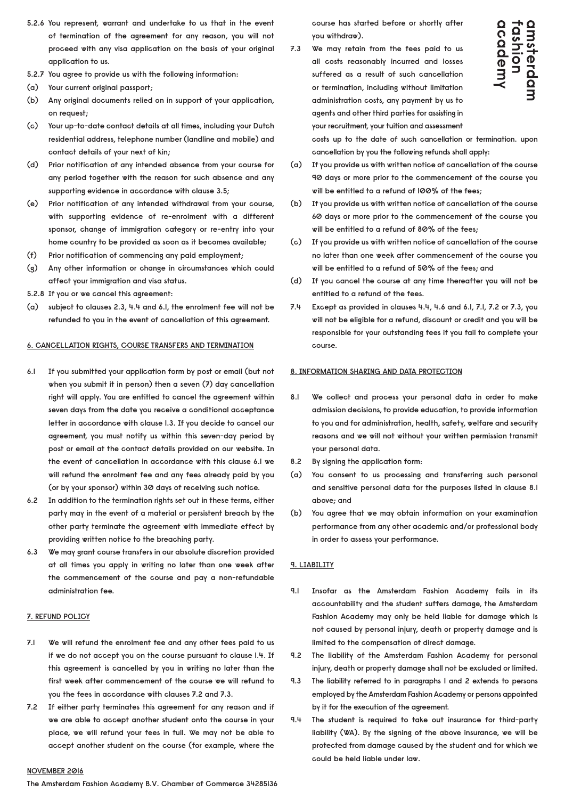- **5.2.6 You represent, warrant and undertake to us that in the event of termination of the agreement for any reason, you will not proceed with any visa application on the basis of your original application to us.**
- **5.2.7 You agree to provide us with the following information:**
- **(a) Your current original passport;**
- **(b) Any original documents relied on in support of your application, on request;**
- **(c) Your up-to-date contact details at all times, including your Dutch residential address, telephone number (landline and mobile) and contact details of your next of kin;**
- **(d) Prior notification of any intended absence from your course for any period together with the reason for such absence and any supporting evidence in accordance with clause 3.5;**
- **(e) Prior notification of any intended withdrawal from your course, with supporting evidence of re-enrolment with a different sponsor, change of immigration category or re-entry into your home country to be provided as soon as it becomes available;**
- **(f) Prior notification of commencing any paid employment;**
- **(g) Any other information or change in circumstances which could affect your immigration and visa status.**
- **5.2.8 If you or we cancel this agreement:**
- **(a) subject to clauses 2.3, 4.4 and 6.1, the enrolment fee will not be refunded to you in the event of cancellation of this agreement.**

## **6. CANCELLATION RIGHTS, COURSE TRANSFERS AND TERMINATION**

- **6.1 If you submitted your application form by post or email (but not when you submit it in person) then a seven (7) day cancellation right will apply. You are entitled to cancel the agreement within seven days from the date you receive a conditional acceptance letter in accordance with clause 1.3. If you decide to cancel our agreement, you must notify us within this seven-day period by post or email at the contact details provided on our website. In the event of cancellation in accordance with this clause 6.1 we will refund the enrolment fee and any fees already paid by you (or by your sponsor) within 30 days of receiving such notice.**
- **6.2 In addition to the termination rights set out in these terms, either party may in the event of a material or persistent breach by the other party terminate the agreement with immediate effect by providing written notice to the breaching party.**
- **6.3 We may grant course transfers in our absolute discretion provided at all times you apply in writing no later than one week after the commencement of the course and pay a non-refundable administration fee.**

# **7. REFUND POLICY**

- **7.1 We will refund the enrolment fee and any other fees paid to us if we do not accept you on the course pursuant to clause 1.4. If this agreement is cancelled by you in writing no later than the first week after commencement of the course we will refund to you the fees in accordance with clauses 7.2 and 7.3.**
- **7.2 If either party terminates this agreement for any reason and if we are able to accept another student onto the course in your place, we will refund your fees in full. We may not be able to accept another student on the course (for example, where the**

**NOVEMBER 2016**

**The Amsterdam Fashion Academy B.V. Chamber of Commerce 34285136**

**course has started before or shortly after you withdraw).**

**7.3 We may retain from the fees paid to us all costs reasonably incurred and losses suffered as a result of such cancellation or termination, including without limitation administration costs, any payment by us to agents and other third parties for assisting in your recruitment, your tuition and assessment** 



**costs up to the date of such cancellation or termination. upon cancellation by you the following refunds shall apply:**

- **(a) If you provide us with written notice of cancellation of the course 90 days or more prior to the commencement of the course you will be entitled to a refund of 100% of the fees;**
- **(b) If you provide us with written notice of cancellation of the course 60 days or more prior to the commencement of the course you will be entitled to a refund of 80% of the fees;**
- **(c) If you provide us with written notice of cancellation of the course no later than one week after commencement of the course you will be entitled to a refund of 50% of the fees; and**
- **(d) If you cancel the course at any time thereafter you will not be entitled to a refund of the fees.**
- **7.4 Except as provided in clauses 4.4, 4.6 and 6.1, 7.1, 7.2 or 7.3, you will not be eligible for a refund, discount or credit and you will be responsible for your outstanding fees if you fail to complete your course.**

# **8. INFORMATION SHARING AND DATA PROTECTION**

- **8.1 We collect and process your personal data in order to make admission decisions, to provide education, to provide information to you and for administration, health, safety, welfare and security reasons and we will not without your written permission transmit your personal data.**
- **8.2 By signing the application form:**
- **(a) You consent to us processing and transferring such personal and sensitive personal data for the purposes listed in clause 8.1 above; and**
- **(b) You agree that we may obtain information on your examination performance from any other academic and/or professional body in order to assess your performance.**

# **9. LIABILITY**

- **9.1 Insofar as the Amsterdam Fashion Academy fails in its accountability and the student suffers damage, the Amsterdam Fashion Academy may only be held liable for damage which is not caused by personal injury, death or property damage and is limited to the compensation of direct damage.**
- **9.2 The liability of the Amsterdam Fashion Academy for personal injury, death or property damage shall not be excluded or limited.**
- **9.3 The liability referred to in paragraphs 1 and 2 extends to persons employed by the Amsterdam Fashion Academy or persons appointed by it for the execution of the agreement.**
- **9.4 The student is required to take out insurance for third-party liability (WA). By the signing of the above insurance, we will be protected from damage caused by the student and for which we could be held liable under law.**